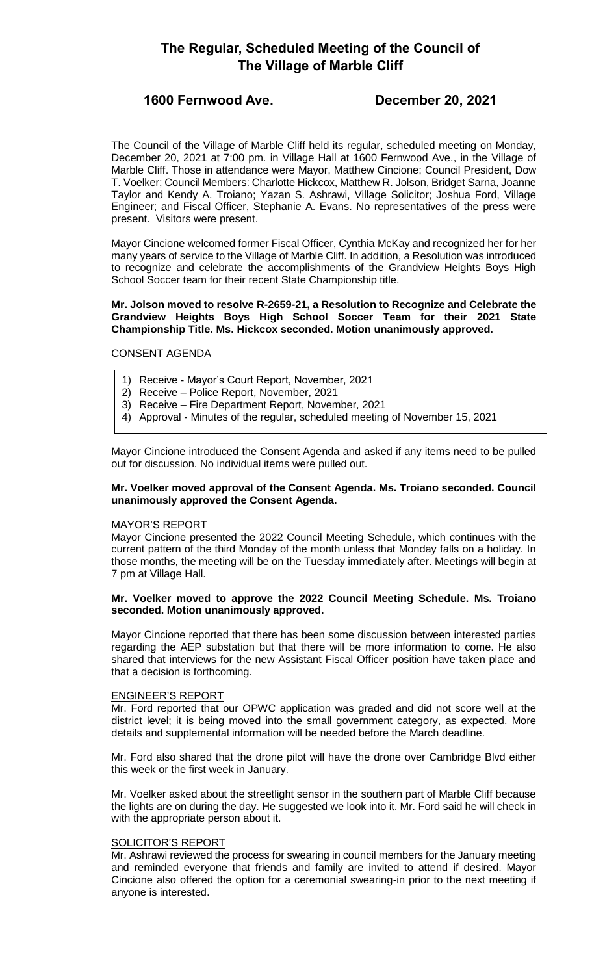# **The Regular, Scheduled Meeting of the Council of The Village of Marble Cliff**

## **1600 Fernwood Ave. December 20, 2021**

The Council of the Village of Marble Cliff held its regular, scheduled meeting on Monday, December 20, 2021 at 7:00 pm. in Village Hall at 1600 Fernwood Ave., in the Village of Marble Cliff. Those in attendance were Mayor, Matthew Cincione; Council President, Dow T. Voelker; Council Members: Charlotte Hickcox, Matthew R. Jolson, Bridget Sarna, Joanne Taylor and Kendy A. Troiano; Yazan S. Ashrawi, Village Solicitor; Joshua Ford, Village Engineer; and Fiscal Officer, Stephanie A. Evans. No representatives of the press were present. Visitors were present.

Mayor Cincione welcomed former Fiscal Officer, Cynthia McKay and recognized her for her many years of service to the Village of Marble Cliff. In addition, a Resolution was introduced to recognize and celebrate the accomplishments of the Grandview Heights Boys High School Soccer team for their recent State Championship title.

#### **Mr. Jolson moved to resolve R-2659-21, a Resolution to Recognize and Celebrate the Grandview Heights Boys High School Soccer Team for their 2021 State Championship Title. Ms. Hickcox seconded. Motion unanimously approved.**

### CONSENT AGENDA

- 1) Receive Mayor's Court Report, November, 2021
- 2) Receive Police Report, November, 2021
- 3) Receive Fire Department Report, November, 2021
- 4) Approval Minutes of the regular, scheduled meeting of November 15, 2021

Mayor Cincione introduced the Consent Agenda and asked if any items need to be pulled out for discussion. No individual items were pulled out.

#### **Mr. Voelker moved approval of the Consent Agenda. Ms. Troiano seconded. Council unanimously approved the Consent Agenda.**

#### MAYOR'S REPORT

Mayor Cincione presented the 2022 Council Meeting Schedule, which continues with the current pattern of the third Monday of the month unless that Monday falls on a holiday. In those months, the meeting will be on the Tuesday immediately after. Meetings will begin at 7 pm at Village Hall.

#### **Mr. Voelker moved to approve the 2022 Council Meeting Schedule. Ms. Troiano seconded. Motion unanimously approved.**

Mayor Cincione reported that there has been some discussion between interested parties regarding the AEP substation but that there will be more information to come. He also shared that interviews for the new Assistant Fiscal Officer position have taken place and that a decision is forthcoming.

#### ENGINEER'S REPORT

Mr. Ford reported that our OPWC application was graded and did not score well at the district level; it is being moved into the small government category, as expected. More details and supplemental information will be needed before the March deadline.

Mr. Ford also shared that the drone pilot will have the drone over Cambridge Blvd either this week or the first week in January.

Mr. Voelker asked about the streetlight sensor in the southern part of Marble Cliff because the lights are on during the day. He suggested we look into it. Mr. Ford said he will check in with the appropriate person about it.

#### SOLICITOR'S REPORT

Mr. Ashrawi reviewed the process for swearing in council members for the January meeting and reminded everyone that friends and family are invited to attend if desired. Mayor Cincione also offered the option for a ceremonial swearing-in prior to the next meeting if anyone is interested.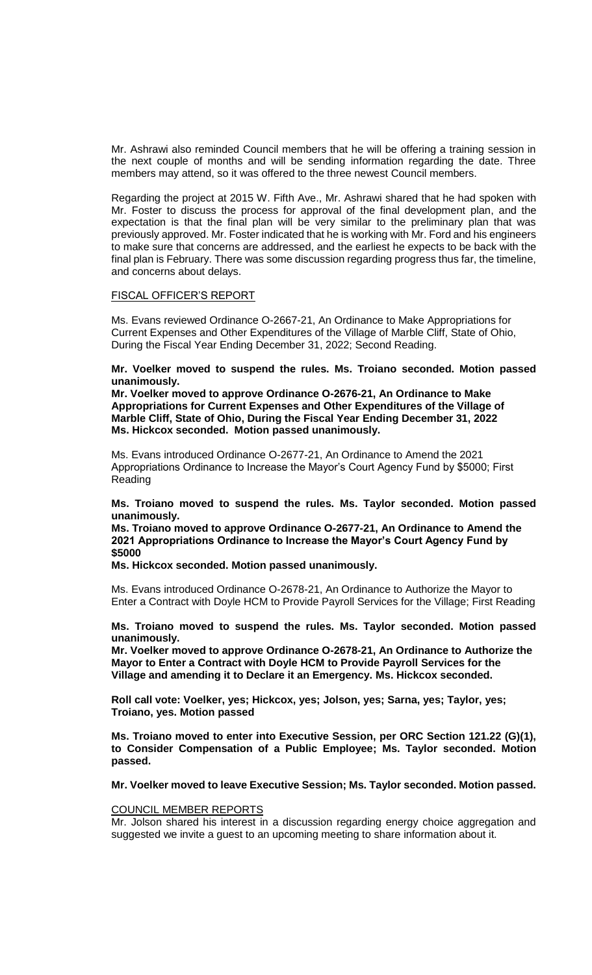Mr. Ashrawi also reminded Council members that he will be offering a training session in the next couple of months and will be sending information regarding the date. Three members may attend, so it was offered to the three newest Council members.

Regarding the project at 2015 W. Fifth Ave., Mr. Ashrawi shared that he had spoken with Mr. Foster to discuss the process for approval of the final development plan, and the expectation is that the final plan will be very similar to the preliminary plan that was previously approved. Mr. Foster indicated that he is working with Mr. Ford and his engineers to make sure that concerns are addressed, and the earliest he expects to be back with the final plan is February. There was some discussion regarding progress thus far, the timeline, and concerns about delays.

#### FISCAL OFFICER'S REPORT

Ms. Evans reviewed Ordinance O-2667-21, An Ordinance to Make Appropriations for Current Expenses and Other Expenditures of the Village of Marble Cliff, State of Ohio, During the Fiscal Year Ending December 31, 2022; Second Reading.

**Mr. Voelker moved to suspend the rules. Ms. Troiano seconded. Motion passed unanimously.**

**Mr. Voelker moved to approve Ordinance O-2676-21, An Ordinance to Make Appropriations for Current Expenses and Other Expenditures of the Village of Marble Cliff, State of Ohio, During the Fiscal Year Ending December 31, 2022 Ms. Hickcox seconded. Motion passed unanimously.**

Ms. Evans introduced Ordinance O-2677-21, An Ordinance to Amend the 2021 Appropriations Ordinance to Increase the Mayor's Court Agency Fund by \$5000; First Reading

**Ms. Troiano moved to suspend the rules. Ms. Taylor seconded. Motion passed unanimously.**

**Ms. Troiano moved to approve Ordinance O-2677-21, An Ordinance to Amend the 2021 Appropriations Ordinance to Increase the Mayor's Court Agency Fund by \$5000**

**Ms. Hickcox seconded. Motion passed unanimously.**

Ms. Evans introduced Ordinance O-2678-21, An Ordinance to Authorize the Mayor to Enter a Contract with Doyle HCM to Provide Payroll Services for the Village; First Reading

**Ms. Troiano moved to suspend the rules. Ms. Taylor seconded. Motion passed unanimously.**

**Mr. Voelker moved to approve Ordinance O-2678-21, An Ordinance to Authorize the Mayor to Enter a Contract with Doyle HCM to Provide Payroll Services for the Village and amending it to Declare it an Emergency. Ms. Hickcox seconded.** 

**Roll call vote: Voelker, yes; Hickcox, yes; Jolson, yes; Sarna, yes; Taylor, yes; Troiano, yes. Motion passed**

**Ms. Troiano moved to enter into Executive Session, per ORC Section 121.22 (G)(1), to Consider Compensation of a Public Employee; Ms. Taylor seconded. Motion passed.**

**Mr. Voelker moved to leave Executive Session; Ms. Taylor seconded. Motion passed.**

#### COUNCIL MEMBER REPORTS

Mr. Jolson shared his interest in a discussion regarding energy choice aggregation and suggested we invite a guest to an upcoming meeting to share information about it.